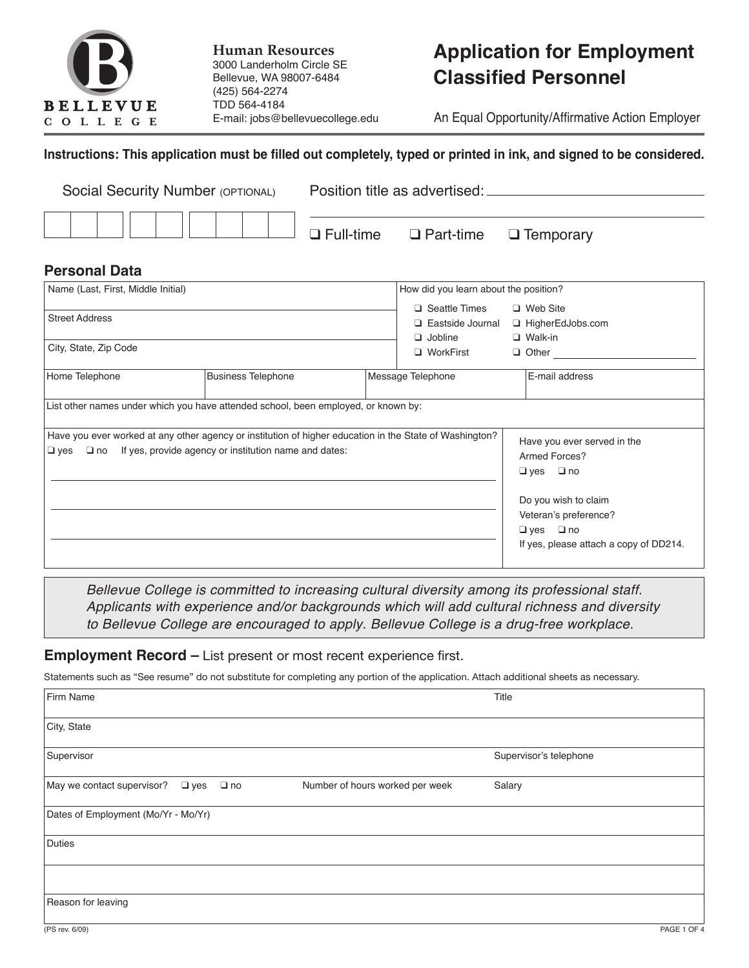

**Human Resources** 3000 Landerholm Circle SE Bellevue, WA 98007-6484 (425) 564-2274 TDD 564-4184 E-mail: jobs@bellevuecollege.edu

# **Application for Employment Classified Personnel**

An Equal Opportunity/Affirmative Action Employer

#### **Instructions: This application must be filled out completely, typed or printed in ink, and signed to be considered.**

| Social Security Number (OPTIONAL)              | Position title as advertised: ______ |  |
|------------------------------------------------|--------------------------------------|--|
| THITTIII-III-Eull-time Q Part-time Q Temporary |                                      |  |

#### **Personal Data**

| Name (Last, First, Middle Initial)<br><b>Street Address</b><br>City, State, Zip Code |                                                                                                         | How did you learn about the position?                                            |                                                                         |                                                                             |                                        |
|--------------------------------------------------------------------------------------|---------------------------------------------------------------------------------------------------------|----------------------------------------------------------------------------------|-------------------------------------------------------------------------|-----------------------------------------------------------------------------|----------------------------------------|
|                                                                                      |                                                                                                         | □ Seattle Times<br>$\Box$ Eastside Journal<br>$\Box$ Jobline<br>$\Box$ WorkFirst | $\Box$ Web Site<br>□ HigherEdJobs.com<br>$\Box$ Walk-in<br>$\Box$ Other |                                                                             |                                        |
| Home Telephone                                                                       | <b>Business Telephone</b><br>Message Telephone                                                          |                                                                                  |                                                                         | E-mail address                                                              |                                        |
|                                                                                      | List other names under which you have attended school, been employed, or known by:                      |                                                                                  |                                                                         |                                                                             |                                        |
| $\Box$ yes $\Box$ no If yes, provide agency or institution name and dates:           | Have you ever worked at any other agency or institution of higher education in the State of Washington? |                                                                                  |                                                                         | Have you ever served in the<br>Armed Forces?<br>$\Box$ no<br>$\Box$ yes     |                                        |
|                                                                                      |                                                                                                         |                                                                                  |                                                                         | Do you wish to claim<br>Veteran's preference?<br>$\Box$ no<br>$\square$ yes | If yes, please attach a copy of DD214. |

*Bellevue College is committed to increasing cultural diversity among its professional staff. Applicants with experience and/or backgrounds which will add cultural richness and diversity to Bellevue College are encouraged to apply. Bellevue College is a drug-free workplace.*

#### **Employment Record –** List present or most recent experience first.

Statements such as "See resume" do not substitute for completing any portion of the application. Attach additional sheets as necessary.

| Firm Name                                             |                                 | Title                  |
|-------------------------------------------------------|---------------------------------|------------------------|
| City, State                                           |                                 |                        |
| Supervisor                                            |                                 | Supervisor's telephone |
| May we contact supervisor?<br>$\Box$ yes<br>$\Box$ no | Number of hours worked per week | Salary                 |
| Dates of Employment (Mo/Yr - Mo/Yr)                   |                                 |                        |
| Duties                                                |                                 |                        |
|                                                       |                                 |                        |
| Reason for leaving                                    |                                 |                        |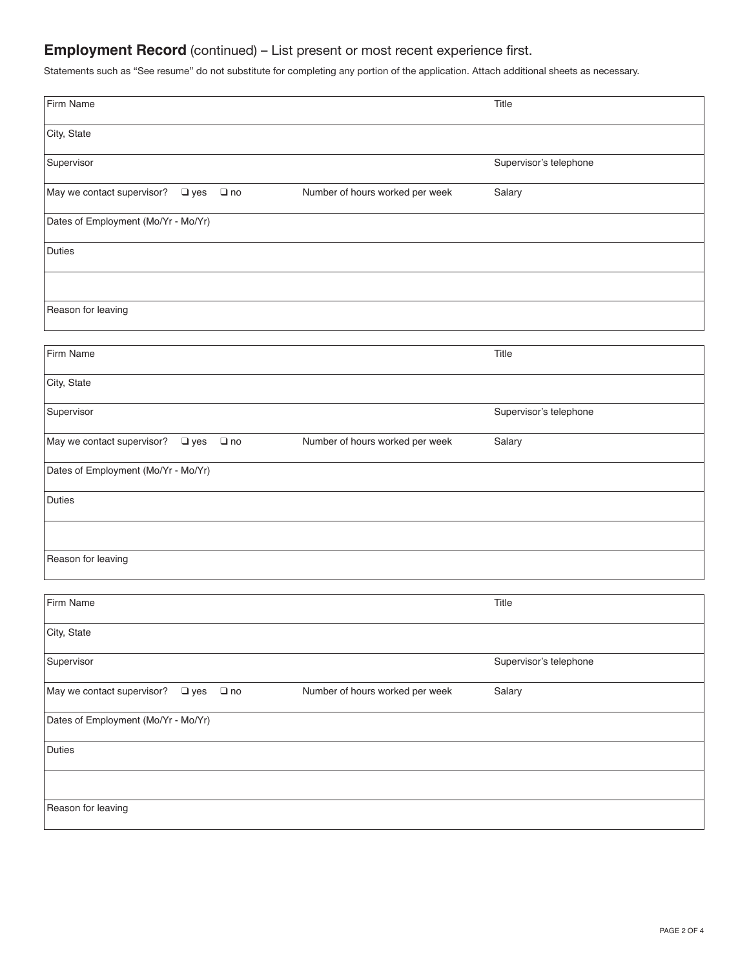## **Employment Record** (continued) – List present or most recent experience first.

Statements such as "See resume" do not substitute for completing any portion of the application. Attach additional sheets as necessary.

| Firm Name                                   |           |                                 | Title                  |
|---------------------------------------------|-----------|---------------------------------|------------------------|
| City, State                                 |           |                                 |                        |
|                                             |           |                                 |                        |
| Supervisor                                  |           |                                 | Supervisor's telephone |
| May we contact supervisor?<br>$\square$ yes | $\Box$ no | Number of hours worked per week | Salary                 |
| Dates of Employment (Mo/Yr - Mo/Yr)         |           |                                 |                        |
| Duties                                      |           |                                 |                        |
|                                             |           |                                 |                        |
| Reason for leaving                          |           |                                 |                        |
|                                             |           |                                 |                        |
| Firm Name                                   |           |                                 | Title                  |
| City, State                                 |           |                                 |                        |
| Supervisor                                  |           |                                 | Supervisor's telephone |
| May we contact supervisor?<br>$\square$ yes | $\Box$ no | Number of hours worked per week | Salary                 |
| Dates of Employment (Mo/Yr - Mo/Yr)         |           |                                 |                        |
| Duties                                      |           |                                 |                        |
|                                             |           |                                 |                        |
| Reason for leaving                          |           |                                 |                        |
| Firm Name                                   |           |                                 | Title                  |
| City, State                                 |           |                                 |                        |
|                                             |           |                                 |                        |
| Supervisor                                  |           |                                 | Supervisor's telephone |
| May we contact supervisor?<br>$\Box$ yes    | $\Box$ no | Number of hours worked per week | Salary                 |
| Dates of Employment (Mo/Yr - Mo/Yr)         |           |                                 |                        |
| Duties                                      |           |                                 |                        |
|                                             |           |                                 |                        |
| Reason for leaving                          |           |                                 |                        |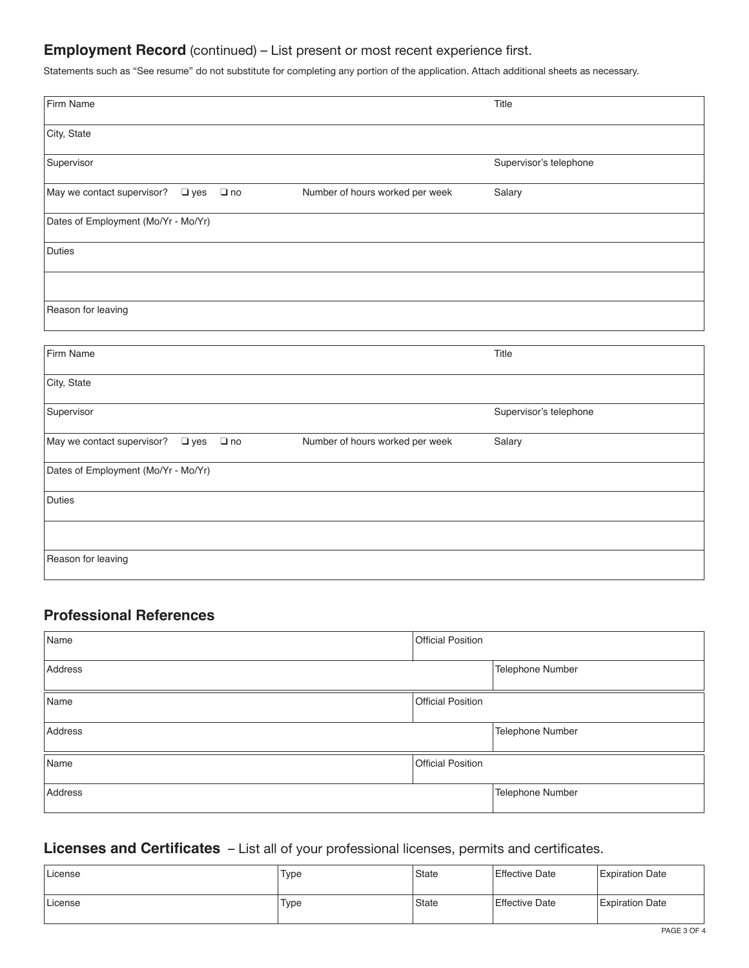## **Employment Record** (continued) – List present or most recent experience first.

Statements such as "See resume" do not substitute for completing any portion of the application. Attach additional sheets as necessary.

| Firm Name                                                |                                 | Title                  |
|----------------------------------------------------------|---------------------------------|------------------------|
| City, State                                              |                                 |                        |
| Supervisor                                               |                                 | Supervisor's telephone |
| May we contact supervisor?<br>$\Box$ no<br>$\square$ yes | Number of hours worked per week | Salary                 |
| Dates of Employment (Mo/Yr - Mo/Yr)                      |                                 |                        |
| <b>Duties</b>                                            |                                 |                        |
|                                                          |                                 |                        |
| Reason for leaving                                       |                                 |                        |
|                                                          |                                 |                        |
| Firm Name                                                |                                 | Title                  |
| City, State                                              |                                 |                        |
| Supervisor                                               |                                 | Supervisor's telephone |
| May we contact supervisor?<br>$\square$ yes<br>$\Box$ no | Number of hours worked per week | Salary                 |
| Dates of Employment (Mo/Yr - Mo/Yr)                      |                                 |                        |
| <b>Duties</b>                                            |                                 |                        |
|                                                          |                                 |                        |
| Reason for leaving                                       |                                 |                        |

## **Professional References**

| Name    | <b>Official Position</b> |                  |
|---------|--------------------------|------------------|
| Address |                          | Telephone Number |
| Name    | <b>Official Position</b> |                  |
| Address |                          | Telephone Number |
| Name    | <b>Official Position</b> |                  |
| Address |                          | Telephone Number |

## **Licenses and Certificates** – List all of your professional licenses, permits and certificates.

| License | Type | State              | <b>Effective Date</b> | <b>Expiration Date</b> |
|---------|------|--------------------|-----------------------|------------------------|
| License | Type | <sup>'</sup> State | <b>Effective Date</b> | <b>Expiration Date</b> |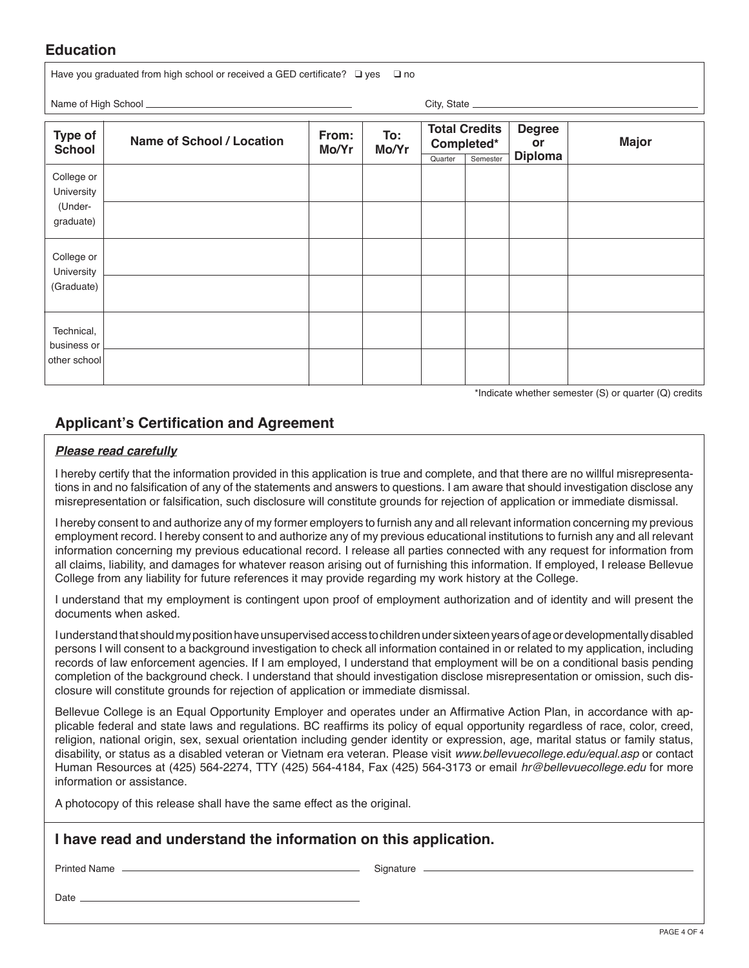#### **Education**

Have you graduated from high school or received a GED certificate?  $\Box$  yes  $\Box$  no

Name of High School **City, State** 

| Type of<br><b>School</b>  | <b>Name of School / Location</b> | From:<br>Mo/Yr | To:<br>Mo/Yr | Quarter | <b>Total Credits</b><br>Completed*<br>Semester | <b>Degree</b><br>or<br><b>Diploma</b> | <b>Major</b> |
|---------------------------|----------------------------------|----------------|--------------|---------|------------------------------------------------|---------------------------------------|--------------|
| College or<br>University  |                                  |                |              |         |                                                |                                       |              |
| (Under-<br>graduate)      |                                  |                |              |         |                                                |                                       |              |
| College or<br>University  |                                  |                |              |         |                                                |                                       |              |
| (Graduate)                |                                  |                |              |         |                                                |                                       |              |
| Technical,<br>business or |                                  |                |              |         |                                                |                                       |              |
| other school              |                                  |                |              |         |                                                |                                       |              |

\*Indicate whether semester (S) or quarter (Q) credits

### **Applicant's Certification and Agreement**

#### *Please read carefully*

I hereby certify that the information provided in this application is true and complete, and that there are no willful misrepresentations in and no falsification of any of the statements and answers to questions. I am aware that should investigation disclose any misrepresentation or falsification, such disclosure will constitute grounds for rejection of application or immediate dismissal.

I hereby consent to and authorize any of my former employers to furnish any and all relevant information concerning my previous employment record. I hereby consent to and authorize any of my previous educational institutions to furnish any and all relevant information concerning my previous educational record. I release all parties connected with any request for information from all claims, liability, and damages for whatever reason arising out of furnishing this information. If employed, I release Bellevue College from any liability for future references it may provide regarding my work history at the College.

I understand that my employment is contingent upon proof of employment authorization and of identity and will present the documents when asked.

I understand that should my position have unsupervised access to children under sixteen years of age or developmentally disabled persons I will consent to a background investigation to check all information contained in or related to my application, including records of law enforcement agencies. If I am employed, I understand that employment will be on a conditional basis pending completion of the background check. I understand that should investigation disclose misrepresentation or omission, such disclosure will constitute grounds for rejection of application or immediate dismissal.

Bellevue College is an Equal Opportunity Employer and operates under an Affirmative Action Plan, in accordance with applicable federal and state laws and regulations. BC reaffirms its policy of equal opportunity regardless of race, color, creed, religion, national origin, sex, sexual orientation including gender identity or expression, age, marital status or family status, disability, or status as a disabled veteran or Vietnam era veteran. Please visit *www.bellevuecollege.edu/equal.asp* or contact Human Resources at (425) 564-2274, TTY (425) 564-4184, Fax (425) 564-3173 or email *hr@bellevuecollege.edu* for more information or assistance.

A photocopy of this release shall have the same effect as the original.

#### **I have read and understand the information on this application.**

Printed Name (Signature Signature Signature Signature Signature Signature Signature Signature Signature Signature Signature Signature Signature Signature Signature Signature Signature Signature Signature Signature Signatur

Date